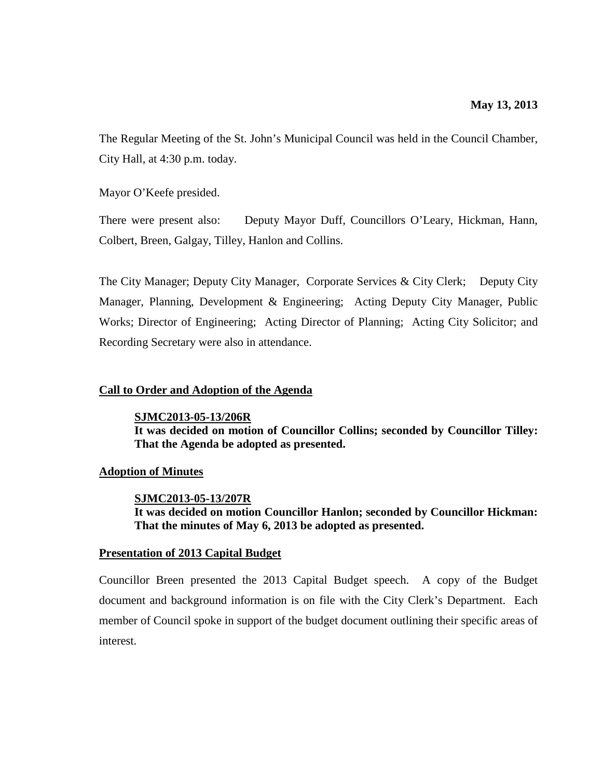The Regular Meeting of the St. John's Municipal Council was held in the Council Chamber, City Hall, at 4:30 p.m. today.

Mayor O'Keefe presided.

There were present also: Deputy Mayor Duff, Councillors O'Leary, Hickman, Hann, Colbert, Breen, Galgay, Tilley, Hanlon and Collins.

The City Manager; Deputy City Manager, Corporate Services & City Clerk; Deputy City Manager, Planning, Development & Engineering; Acting Deputy City Manager, Public Works; Director of Engineering; Acting Director of Planning; Acting City Solicitor; and Recording Secretary were also in attendance.

## **Call to Order and Adoption of the Agenda**

**SJMC2013-05-13/206R It was decided on motion of Councillor Collins; seconded by Councillor Tilley: That the Agenda be adopted as presented.**

## **Adoption of Minutes**

**SJMC2013-05-13/207R**

**It was decided on motion Councillor Hanlon; seconded by Councillor Hickman: That the minutes of May 6, 2013 be adopted as presented.**

### **Presentation of 2013 Capital Budget**

Councillor Breen presented the 2013 Capital Budget speech. A copy of the Budget document and background information is on file with the City Clerk's Department. Each member of Council spoke in support of the budget document outlining their specific areas of interest.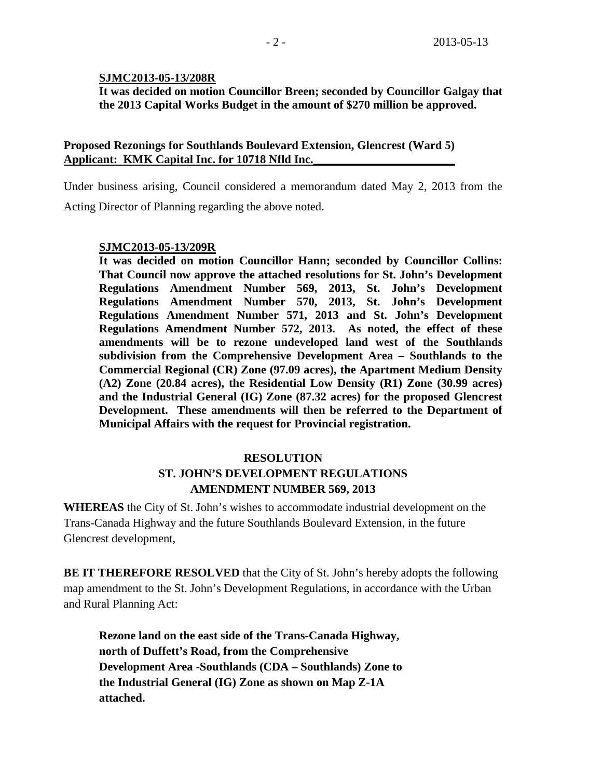## **SJMC2013-05-13/208R**

**It was decided on motion Councillor Breen; seconded by Councillor Galgay that the 2013 Capital Works Budget in the amount of \$270 million be approved.**

## **Proposed Rezonings for Southlands Boulevard Extension, Glencrest (Ward 5)** Applicant: KMK Capital Inc. for 10718 Nfld Inc.

Under business arising, Council considered a memorandum dated May 2, 2013 from the

Acting Director of Planning regarding the above noted.

## **SJMC2013-05-13/209R**

**It was decided on motion Councillor Hann; seconded by Councillor Collins: That Council now approve the attached resolutions for St. John's Development Regulations Amendment Number 569, 2013, St. John's Development Regulations Amendment Number 570, 2013, St. John's Development Regulations Amendment Number 571, 2013 and St. John's Development Regulations Amendment Number 572, 2013. As noted, the effect of these amendments will be to rezone undeveloped land west of the Southlands subdivision from the Comprehensive Development Area – Southlands to the Commercial Regional (CR) Zone (97.09 acres), the Apartment Medium Density (A2) Zone (20.84 acres), the Residential Low Density (R1) Zone (30.99 acres) and the Industrial General (IG) Zone (87.32 acres) for the proposed Glencrest Development. These amendments will then be referred to the Department of Municipal Affairs with the request for Provincial registration.**

# **RESOLUTION ST. JOHN'S DEVELOPMENT REGULATIONS AMENDMENT NUMBER 569, 2013**

**WHEREAS** the City of St. John's wishes to accommodate industrial development on the Trans-Canada Highway and the future Southlands Boulevard Extension, in the future Glencrest development,

**BE IT THEREFORE RESOLVED** that the City of St. John's hereby adopts the following map amendment to the St. John's Development Regulations, in accordance with the Urban and Rural Planning Act:

**Rezone land on the east side of the Trans-Canada Highway, north of Duffett's Road, from the Comprehensive Development Area -Southlands (CDA – Southlands) Zone to the Industrial General (IG) Zone as shown on Map Z-1A attached.**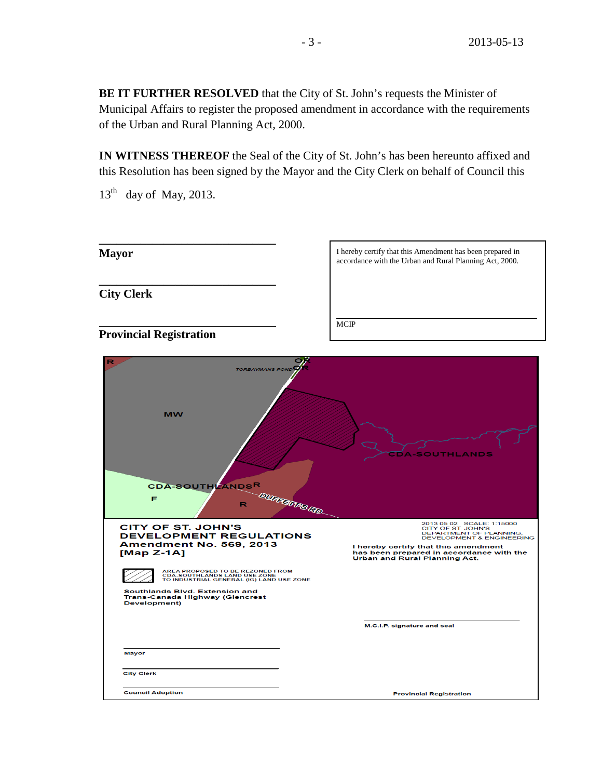**BE IT FURTHER RESOLVED** that the City of St. John's requests the Minister of Municipal Affairs to register the proposed amendment in accordance with the requirements of the Urban and Rural Planning Act, 2000.

**IN WITNESS THEREOF** the Seal of the City of St. John's has been hereunto affixed and this Resolution has been signed by the Mayor and the City Clerk on behalf of Council this

 $13<sup>th</sup>$  day of May, 2013.

| <b>Mayor</b>                   | I hereby certify that this Amendment has been prepared in<br>accordance with the Urban and Rural Planning Act, 2000. |
|--------------------------------|----------------------------------------------------------------------------------------------------------------------|
| <b>City Clerk</b>              |                                                                                                                      |
| <b>Provincial Registration</b> | <b>MCIP</b>                                                                                                          |

| R<br><b>TORBAYMANS POND</b><br><b>MW</b><br><b>CDA-SOUTHLANDSR</b><br>Е<br>R                                                                                                                                                                                                                                                     | <b>A-SOUTHLANDS</b><br><b>DURFERRS RD.</b>                                                                                                                                                                                                     |
|----------------------------------------------------------------------------------------------------------------------------------------------------------------------------------------------------------------------------------------------------------------------------------------------------------------------------------|------------------------------------------------------------------------------------------------------------------------------------------------------------------------------------------------------------------------------------------------|
| <b>CITY OF ST. JOHN'S</b><br><b>DEVELOPMENT REGULATIONS</b><br><b>Amendment No. 569, 2013</b><br>$[Map Z-1A]$<br>AREA PROPOSED TO BE REZONED FROM<br><b>CDA-SOUTHLANDS LAND USE ZONE</b><br>TO INDUSTRIAL GENERAL (IG) LAND USE ZONE<br>Southlands Blvd. Extension and<br><b>Trans-Canada Highway (Glencrest</b><br>Development) | 2013 05 02 SCALE: 1:15000<br>CITY OF ST. JOHN'S<br>DEPARTMENT OF PLANNING,<br><b>DEVELOPMENT &amp; ENGINEERING</b><br>I hereby certify that this amendment<br>has been prepared in accordance with the<br><b>Urban and Rural Planning Act.</b> |
| Mayor                                                                                                                                                                                                                                                                                                                            | M.C.I.P. signature and seal                                                                                                                                                                                                                    |
| <b>City Clerk</b><br><b>Council Adoption</b>                                                                                                                                                                                                                                                                                     | <b>Provincial Registration</b>                                                                                                                                                                                                                 |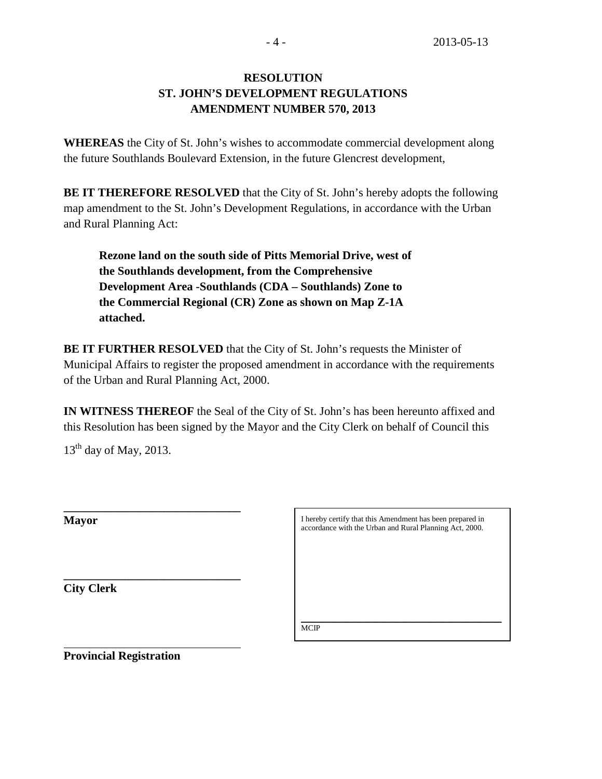# **RESOLUTION ST. JOHN'S DEVELOPMENT REGULATIONS AMENDMENT NUMBER 570, 2013**

**WHEREAS** the City of St. John's wishes to accommodate commercial development along the future Southlands Boulevard Extension, in the future Glencrest development,

**BE IT THEREFORE RESOLVED** that the City of St. John's hereby adopts the following map amendment to the St. John's Development Regulations, in accordance with the Urban and Rural Planning Act:

**Rezone land on the south side of Pitts Memorial Drive, west of the Southlands development, from the Comprehensive Development Area -Southlands (CDA – Southlands) Zone to the Commercial Regional (CR) Zone as shown on Map Z-1A attached.**

**BE IT FURTHER RESOLVED** that the City of St. John's requests the Minister of Municipal Affairs to register the proposed amendment in accordance with the requirements of the Urban and Rural Planning Act, 2000.

**IN WITNESS THEREOF** the Seal of the City of St. John's has been hereunto affixed and this Resolution has been signed by the Mayor and the City Clerk on behalf of Council this

 $13<sup>th</sup>$  day of May, 2013.

**\_\_\_\_\_\_\_\_\_\_\_\_\_\_\_\_\_\_\_\_\_\_\_\_\_\_\_\_\_\_**

**\_\_\_\_\_\_\_\_\_\_\_\_\_\_\_\_\_\_\_\_\_\_\_\_\_\_\_\_\_\_** 

| davor<br>IVI |
|--------------|
|--------------|

**City Clerk**

I hereby certify that this Amendment has been prepared in accordance with the Urban and Rural Planning Act, 2000.

\_\_\_\_\_\_\_\_\_\_\_\_\_\_\_\_\_\_\_\_\_\_\_\_\_\_\_\_\_\_\_\_\_\_\_\_\_\_\_\_\_\_\_\_\_\_\_\_\_\_\_ **MCIP** 

**Provincial Registration**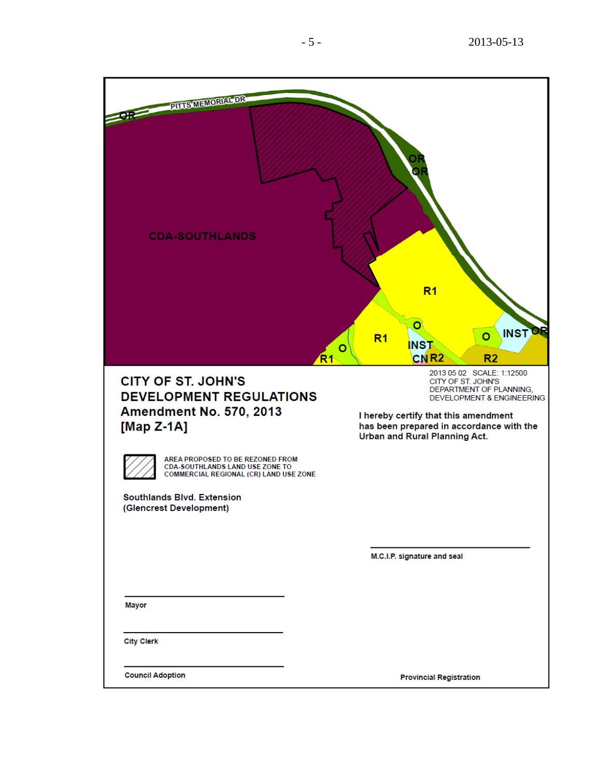| <b>PILLS MEMORIAL DR</b><br><b>CDA-SOUTHLANDS</b>                                                                                               | R <sub>1</sub><br>O<br><b>INST</b><br>$\circ$<br>R <sub>1</sub><br><b>INST</b><br>o<br>CN <sub>R2</sub><br>R <sub>1</sub><br>R <sub>2</sub>                                                                                             |
|-------------------------------------------------------------------------------------------------------------------------------------------------|-----------------------------------------------------------------------------------------------------------------------------------------------------------------------------------------------------------------------------------------|
| <b>CITY OF ST. JOHN'S</b><br><b>DEVELOPMENT REGULATIONS</b><br><b>Amendment No. 570, 2013</b><br>[Map Z-1A]<br>AREA PROPOSED TO BE REZONED FROM | 2013 05 02 SCALE: 1:12500<br>CITY OF ST. JOHN'S<br>DEPARTMENT OF PLANNING,<br><b>DEVELOPMENT &amp; ENGINEERING</b><br>I hereby certify that this amendment<br>has been prepared in accordance with the<br>Urban and Rural Planning Act. |
| CDA-SOUTHLANDS LAND USE ZONE TO<br>COMMERCIAL REGIONAL (CR) LAND USE ZONE<br>Southlands Blvd. Extension<br>(Glencrest Development)              |                                                                                                                                                                                                                                         |
|                                                                                                                                                 | M.C.I.P. signature and seal                                                                                                                                                                                                             |
| Mayor                                                                                                                                           |                                                                                                                                                                                                                                         |
| <b>City Clerk</b>                                                                                                                               |                                                                                                                                                                                                                                         |
| <b>Council Adoption</b>                                                                                                                         | <b>Provincial Registration</b>                                                                                                                                                                                                          |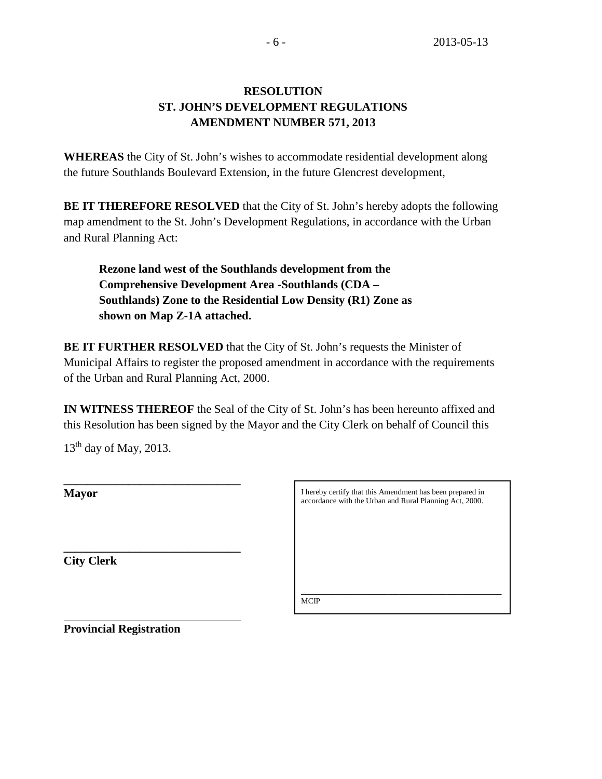# **RESOLUTION ST. JOHN'S DEVELOPMENT REGULATIONS AMENDMENT NUMBER 571, 2013**

**WHEREAS** the City of St. John's wishes to accommodate residential development along the future Southlands Boulevard Extension, in the future Glencrest development,

**BE IT THEREFORE RESOLVED** that the City of St. John's hereby adopts the following map amendment to the St. John's Development Regulations, in accordance with the Urban and Rural Planning Act:

**Rezone land west of the Southlands development from the Comprehensive Development Area -Southlands (CDA – Southlands) Zone to the Residential Low Density (R1) Zone as shown on Map Z-1A attached.**

**BE IT FURTHER RESOLVED** that the City of St. John's requests the Minister of Municipal Affairs to register the proposed amendment in accordance with the requirements of the Urban and Rural Planning Act, 2000.

**IN WITNESS THEREOF** the Seal of the City of St. John's has been hereunto affixed and this Resolution has been signed by the Mayor and the City Clerk on behalf of Council this

 $13<sup>th</sup>$  day of May, 2013.

| Mayor             |  |  |
|-------------------|--|--|
|                   |  |  |
|                   |  |  |
| <b>City Clerk</b> |  |  |

I hereby certify that this Amendment has been prepared in accordance with the Urban and Rural Planning Act, 2000.

\_\_\_\_\_\_\_\_\_\_\_\_\_\_\_\_\_\_\_\_\_\_\_\_\_\_\_\_\_\_\_\_\_\_\_\_\_\_\_\_\_\_\_\_\_\_\_\_\_\_\_ MCIP

**Provincial Registration**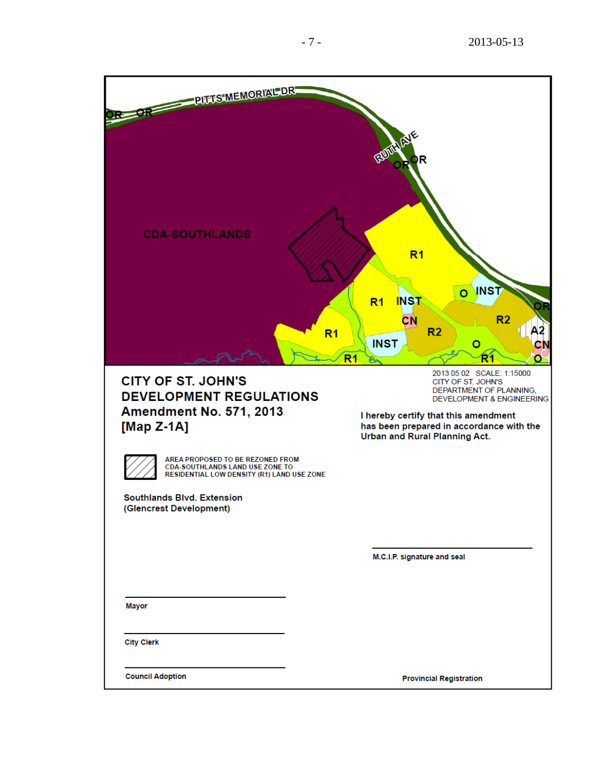| PITTS MEMORIAL DR.<br><b>CDA-SOUTHLANDS</b>                                                                                                                                                                                                                                                      | RUILLA<br>R<br>R <sub>1</sub><br><b>INST</b><br>Ō<br><b>INST</b><br>R <sub>1</sub><br>CN<br>R <sub>2</sub><br>R <sub>2</sub><br>R <sub>1</sub><br><b>INST</b><br>o<br>R <sub>1</sub><br>R1                                              |
|--------------------------------------------------------------------------------------------------------------------------------------------------------------------------------------------------------------------------------------------------------------------------------------------------|-----------------------------------------------------------------------------------------------------------------------------------------------------------------------------------------------------------------------------------------|
| <b>CITY OF ST. JOHN'S</b><br><b>DEVELOPMENT REGULATIONS</b><br><b>Amendment No. 571, 2013</b><br>[Map Z-1A]<br>AREA PROPOSED TO BE REZONED FROM<br>CDA-SOUTHLANDS LAND USE ZONE TO<br>RESIDENTIAL LOW DENSITY (R1) LAND USE ZONE<br><b>Southlands Blvd. Extension</b><br>(Glencrest Development) | 2013 05 02 SCALE: 1:15000<br>CITY OF ST. JOHN'S<br>DEPARTMENT OF PLANNING,<br><b>DEVELOPMENT &amp; ENGINEERING</b><br>I hereby certify that this amendment<br>has been prepared in accordance with the<br>Urban and Rural Planning Act. |
|                                                                                                                                                                                                                                                                                                  | M.C.I.P. signature and seal                                                                                                                                                                                                             |
| Mayor                                                                                                                                                                                                                                                                                            |                                                                                                                                                                                                                                         |
| <b>City Clerk</b>                                                                                                                                                                                                                                                                                |                                                                                                                                                                                                                                         |
| <b>Council Adoption</b>                                                                                                                                                                                                                                                                          | <b>Provincial Registration</b>                                                                                                                                                                                                          |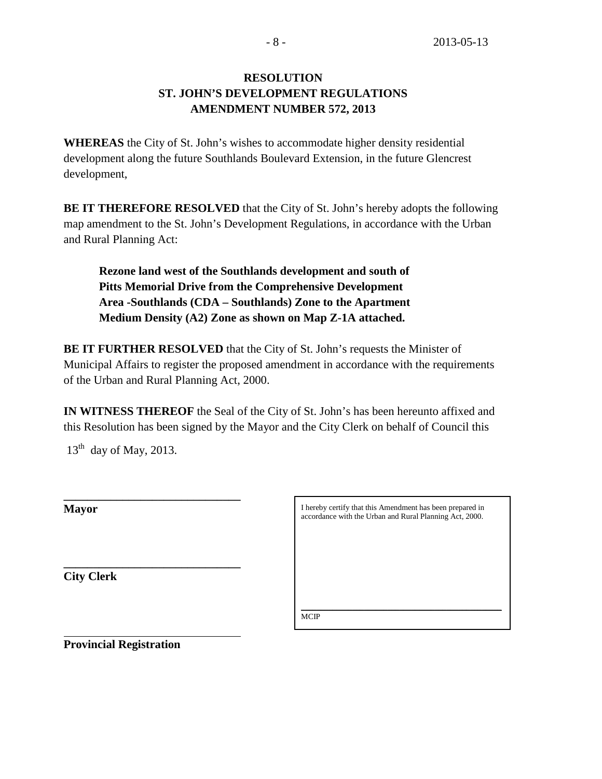# **RESOLUTION ST. JOHN'S DEVELOPMENT REGULATIONS AMENDMENT NUMBER 572, 2013**

**WHEREAS** the City of St. John's wishes to accommodate higher density residential development along the future Southlands Boulevard Extension, in the future Glencrest development,

**BE IT THEREFORE RESOLVED** that the City of St. John's hereby adopts the following map amendment to the St. John's Development Regulations, in accordance with the Urban and Rural Planning Act:

**Rezone land west of the Southlands development and south of Pitts Memorial Drive from the Comprehensive Development Area -Southlands (CDA – Southlands) Zone to the Apartment Medium Density (A2) Zone as shown on Map Z-1A attached.**

**BE IT FURTHER RESOLVED** that the City of St. John's requests the Minister of Municipal Affairs to register the proposed amendment in accordance with the requirements of the Urban and Rural Planning Act, 2000.

**IN WITNESS THEREOF** the Seal of the City of St. John's has been hereunto affixed and this Resolution has been signed by the Mayor and the City Clerk on behalf of Council this

 $13<sup>th</sup>$  day of May, 2013.

| <b>Mayor</b>      | I here<br>accor |
|-------------------|-----------------|
|                   |                 |
|                   |                 |
| <b>City Clerk</b> |                 |

they certify that this Amendment has been prepared in dance with the Urban and Rural Planning Act, 2000.

\_\_\_\_\_\_\_\_\_\_\_\_\_\_\_\_\_\_\_\_\_\_\_\_\_\_\_\_\_\_\_\_\_\_\_\_\_\_\_\_\_\_\_\_\_\_\_\_\_\_\_

**MCIP** 

**Provincial Registration**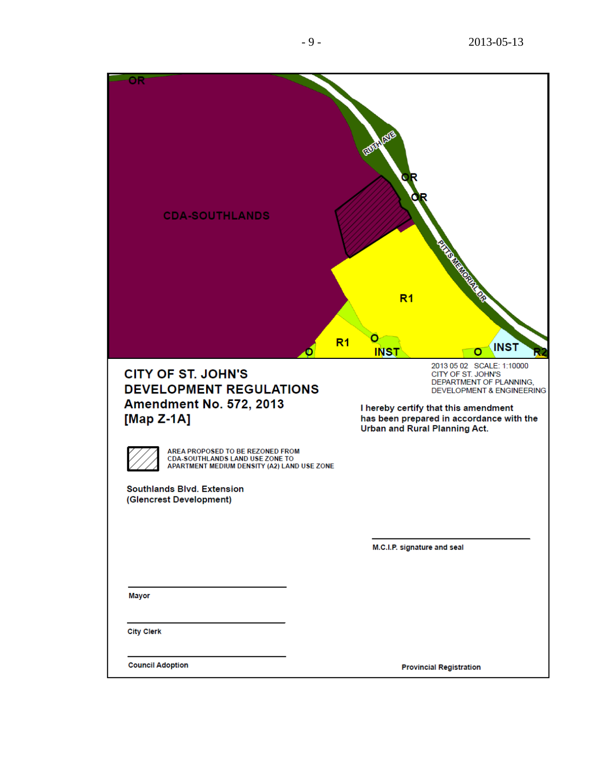| <b>CDA-SOUTHLANDS</b>                                                                                                                                                                                                                                                                                       | <b>RUDITIEVE</b><br><b>CONSTRUCTION OF PROPERTY</b><br>R <sub>1</sub>                                                                                                                                                                   |
|-------------------------------------------------------------------------------------------------------------------------------------------------------------------------------------------------------------------------------------------------------------------------------------------------------------|-----------------------------------------------------------------------------------------------------------------------------------------------------------------------------------------------------------------------------------------|
|                                                                                                                                                                                                                                                                                                             | O<br>R <sub>1</sub><br><b>INST</b><br><b>INST</b><br>o                                                                                                                                                                                  |
| <b>CITY OF ST. JOHN'S</b><br><b>DEVELOPMENT REGULATIONS</b><br><b>Amendment No. 572, 2013</b><br>[Map $Z-1A$ ]<br>AREA PROPOSED TO BE REZONED FROM<br><b>CDA-SOUTHLANDS LAND USE ZONE TO</b><br>APARTMENT MEDIUM DENSITY (A2) LAND USE ZONE<br><b>Southlands Blvd. Extension</b><br>(Glencrest Development) | 2013 05 02 SCALE: 1:10000<br>CITY OF ST. JOHN'S<br>DEPARTMENT OF PLANNING,<br><b>DEVELOPMENT &amp; ENGINEERING</b><br>I hereby certify that this amendment<br>has been prepared in accordance with the<br>Urban and Rural Planning Act. |
|                                                                                                                                                                                                                                                                                                             | M.C.I.P. signature and seal                                                                                                                                                                                                             |
|                                                                                                                                                                                                                                                                                                             |                                                                                                                                                                                                                                         |
| <b>Mayor</b>                                                                                                                                                                                                                                                                                                |                                                                                                                                                                                                                                         |
| <b>City Clerk</b>                                                                                                                                                                                                                                                                                           |                                                                                                                                                                                                                                         |
| <b>Council Adoption</b>                                                                                                                                                                                                                                                                                     | <b>Provincial Registration</b>                                                                                                                                                                                                          |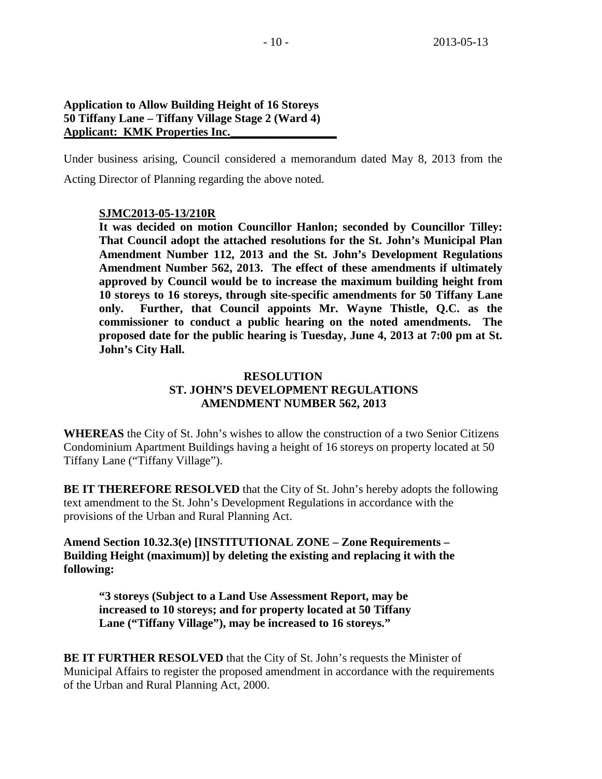## **Application to Allow Building Height of 16 Storeys 50 Tiffany Lane – Tiffany Village Stage 2 (Ward 4)** Applicant: **KMK Properties Inc.**

Under business arising, Council considered a memorandum dated May 8, 2013 from the Acting Director of Planning regarding the above noted.

## **SJMC2013-05-13/210R**

**It was decided on motion Councillor Hanlon; seconded by Councillor Tilley: That Council adopt the attached resolutions for the St. John's Municipal Plan Amendment Number 112, 2013 and the St. John's Development Regulations Amendment Number 562, 2013. The effect of these amendments if ultimately approved by Council would be to increase the maximum building height from 10 storeys to 16 storeys, through site-specific amendments for 50 Tiffany Lane only. Further, that Council appoints Mr. Wayne Thistle, Q.C. as the commissioner to conduct a public hearing on the noted amendments. The proposed date for the public hearing is Tuesday, June 4, 2013 at 7:00 pm at St. John's City Hall.**

## **RESOLUTION ST. JOHN'S DEVELOPMENT REGULATIONS AMENDMENT NUMBER 562, 2013**

**WHEREAS** the City of St. John's wishes to allow the construction of a two Senior Citizens Condominium Apartment Buildings having a height of 16 storeys on property located at 50 Tiffany Lane ("Tiffany Village").

**BE IT THEREFORE RESOLVED** that the City of St. John's hereby adopts the following text amendment to the St. John's Development Regulations in accordance with the provisions of the Urban and Rural Planning Act.

**Amend Section 10.32.3(e) [INSTITUTIONAL ZONE – Zone Requirements – Building Height (maximum)] by deleting the existing and replacing it with the following:**

**"3 storeys (Subject to a Land Use Assessment Report, may be increased to 10 storeys; and for property located at 50 Tiffany Lane ("Tiffany Village"), may be increased to 16 storeys."**

**BE IT FURTHER RESOLVED** that the City of St. John's requests the Minister of Municipal Affairs to register the proposed amendment in accordance with the requirements of the Urban and Rural Planning Act, 2000.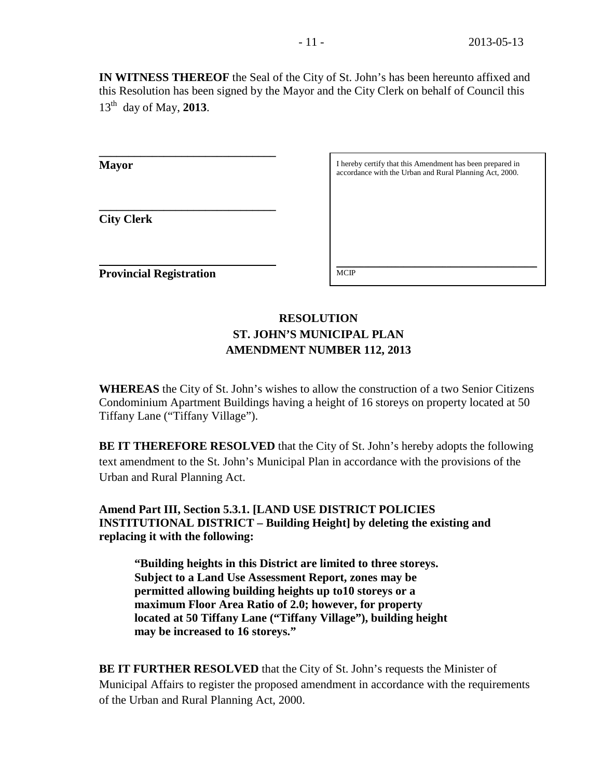**IN WITNESS THEREOF** the Seal of the City of St. John's has been hereunto affixed and this Resolution has been signed by the Mayor and the City Clerk on behalf of Council this 13th day of May, **2013**.

**Mayor**

**City Clerk**

I hereby certify that this Amendment has been prepared in accordance with the Urban and Rural Planning Act, 2000.

\_\_\_\_\_\_\_\_\_\_\_\_\_\_\_\_\_\_\_\_\_\_\_\_\_\_\_\_\_\_\_\_\_\_\_\_\_\_\_\_\_\_\_\_\_\_\_\_\_\_\_

**Provincial Registration**

**\_\_\_\_\_\_\_\_\_\_\_\_\_\_\_\_\_\_\_\_\_\_\_\_\_\_\_\_\_\_**

**\_\_\_\_\_\_\_\_\_\_\_\_\_\_\_\_\_\_\_\_\_\_\_\_\_\_\_\_\_\_** 

# **RESOLUTION ST. JOHN'S MUNICIPAL PLAN AMENDMENT NUMBER 112, 2013**

**MCIP** 

**WHEREAS** the City of St. John's wishes to allow the construction of a two Senior Citizens Condominium Apartment Buildings having a height of 16 storeys on property located at 50 Tiffany Lane ("Tiffany Village").

**BE IT THEREFORE RESOLVED** that the City of St. John's hereby adopts the following text amendment to the St. John's Municipal Plan in accordance with the provisions of the Urban and Rural Planning Act.

**Amend Part III, Section 5.3.1. [LAND USE DISTRICT POLICIES INSTITUTIONAL DISTRICT – Building Height] by deleting the existing and replacing it with the following:**

**"Building heights in this District are limited to three storeys. Subject to a Land Use Assessment Report, zones may be permitted allowing building heights up to10 storeys or a maximum Floor Area Ratio of 2.0; however, for property located at 50 Tiffany Lane ("Tiffany Village"), building height may be increased to 16 storeys."**

**BE IT FURTHER RESOLVED** that the City of St. John's requests the Minister of Municipal Affairs to register the proposed amendment in accordance with the requirements of the Urban and Rural Planning Act, 2000.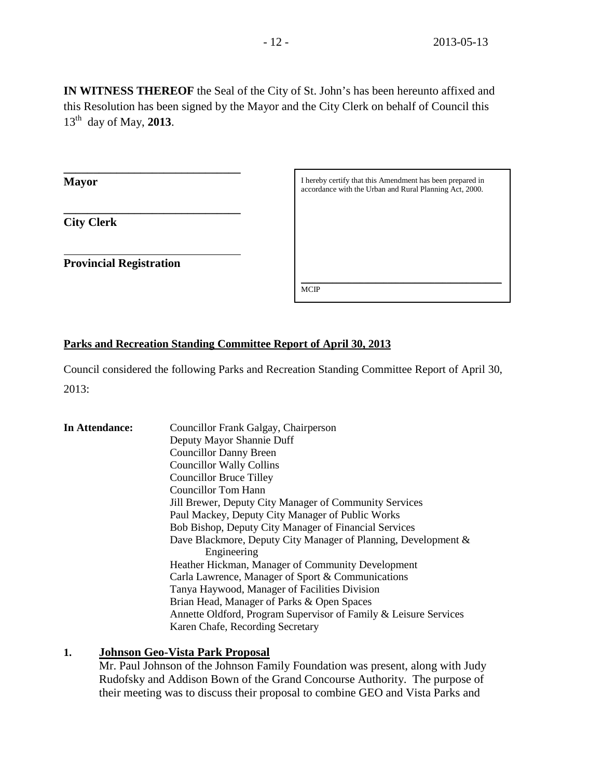**IN WITNESS THEREOF** the Seal of the City of St. John's has been hereunto affixed and this Resolution has been signed by the Mayor and the City Clerk on behalf of Council this 13th day of May, **2013**.

**Mayor**

**City Clerk**

**Provincial Registration**

**\_\_\_\_\_\_\_\_\_\_\_\_\_\_\_\_\_\_\_\_\_\_\_\_\_\_\_\_\_\_**

**\_\_\_\_\_\_\_\_\_\_\_\_\_\_\_\_\_\_\_\_\_\_\_\_\_\_\_\_\_\_** 

I hereby certify that this Amendment has been prepared in accordance with the Urban and Rural Planning Act, 2000.

\_\_\_\_\_\_\_\_\_\_\_\_\_\_\_\_\_\_\_\_\_\_\_\_\_\_\_\_\_\_\_\_\_\_\_\_\_\_\_\_\_\_\_\_\_\_\_\_\_\_\_ MCIP

## **Parks and Recreation Standing Committee Report of April 30, 2013**

Council considered the following Parks and Recreation Standing Committee Report of April 30, 2013:

| In Attendance:                                   | Councillor Frank Galgay, Chairperson                             |  |
|--------------------------------------------------|------------------------------------------------------------------|--|
|                                                  | Deputy Mayor Shannie Duff                                        |  |
|                                                  | <b>Councillor Danny Breen</b>                                    |  |
|                                                  | <b>Councillor Wally Collins</b>                                  |  |
| <b>Councillor Bruce Tilley</b>                   |                                                                  |  |
|                                                  | Councillor Tom Hann                                              |  |
|                                                  | Jill Brewer, Deputy City Manager of Community Services           |  |
| Paul Mackey, Deputy City Manager of Public Works |                                                                  |  |
|                                                  | Bob Bishop, Deputy City Manager of Financial Services            |  |
|                                                  | Dave Blackmore, Deputy City Manager of Planning, Development &   |  |
|                                                  | Engineering                                                      |  |
|                                                  | Heather Hickman, Manager of Community Development                |  |
|                                                  | Carla Lawrence, Manager of Sport & Communications                |  |
|                                                  | Tanya Haywood, Manager of Facilities Division                    |  |
|                                                  | Brian Head, Manager of Parks & Open Spaces                       |  |
|                                                  | Annette Oldford, Program Supervisor of Family & Leisure Services |  |
|                                                  | Karen Chafe, Recording Secretary                                 |  |

## **1. Johnson Geo-Vista Park Proposal**

Mr. Paul Johnson of the Johnson Family Foundation was present, along with Judy Rudofsky and Addison Bown of the Grand Concourse Authority. The purpose of their meeting was to discuss their proposal to combine GEO and Vista Parks and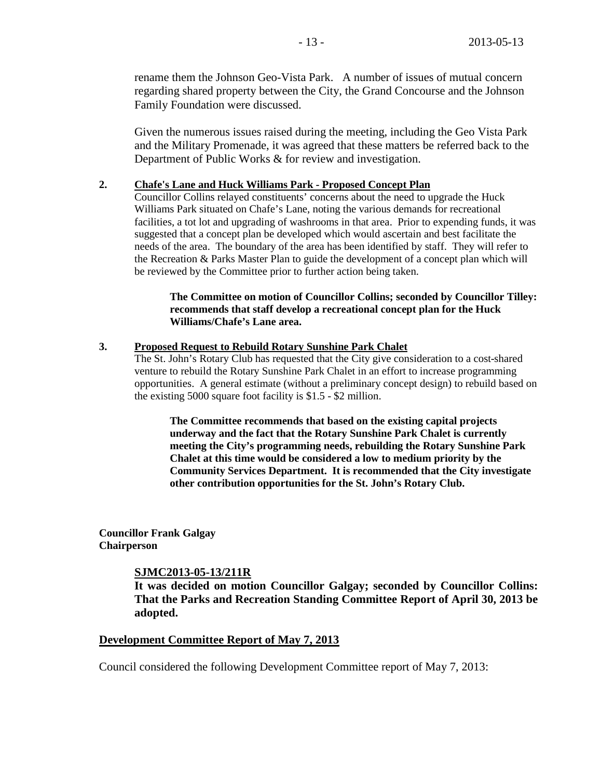rename them the Johnson Geo-Vista Park. A number of issues of mutual concern regarding shared property between the City, the Grand Concourse and the Johnson Family Foundation were discussed.

Given the numerous issues raised during the meeting, including the Geo Vista Park and the Military Promenade, it was agreed that these matters be referred back to the Department of Public Works & for review and investigation.

### **2. Chafe's Lane and Huck Williams Park - Proposed Concept Plan**

Councillor Collins relayed constituents' concerns about the need to upgrade the Huck Williams Park situated on Chafe's Lane, noting the various demands for recreational facilities, a tot lot and upgrading of washrooms in that area. Prior to expending funds, it was suggested that a concept plan be developed which would ascertain and best facilitate the needs of the area. The boundary of the area has been identified by staff. They will refer to the Recreation & Parks Master Plan to guide the development of a concept plan which will be reviewed by the Committee prior to further action being taken.

**The Committee on motion of Councillor Collins; seconded by Councillor Tilley: recommends that staff develop a recreational concept plan for the Huck Williams/Chafe's Lane area.** 

### **3. Proposed Request to Rebuild Rotary Sunshine Park Chalet**

The St. John's Rotary Club has requested that the City give consideration to a cost-shared venture to rebuild the Rotary Sunshine Park Chalet in an effort to increase programming opportunities. A general estimate (without a preliminary concept design) to rebuild based on the existing 5000 square foot facility is \$1.5 - \$2 million.

**The Committee recommends that based on the existing capital projects underway and the fact that the Rotary Sunshine Park Chalet is currently meeting the City's programming needs, rebuilding the Rotary Sunshine Park Chalet at this time would be considered a low to medium priority by the Community Services Department. It is recommended that the City investigate other contribution opportunities for the St. John's Rotary Club.**

**Councillor Frank Galgay Chairperson**

### **SJMC2013-05-13/211R**

**It was decided on motion Councillor Galgay; seconded by Councillor Collins: That the Parks and Recreation Standing Committee Report of April 30, 2013 be adopted.** 

### **Development Committee Report of May 7, 2013**

Council considered the following Development Committee report of May 7, 2013: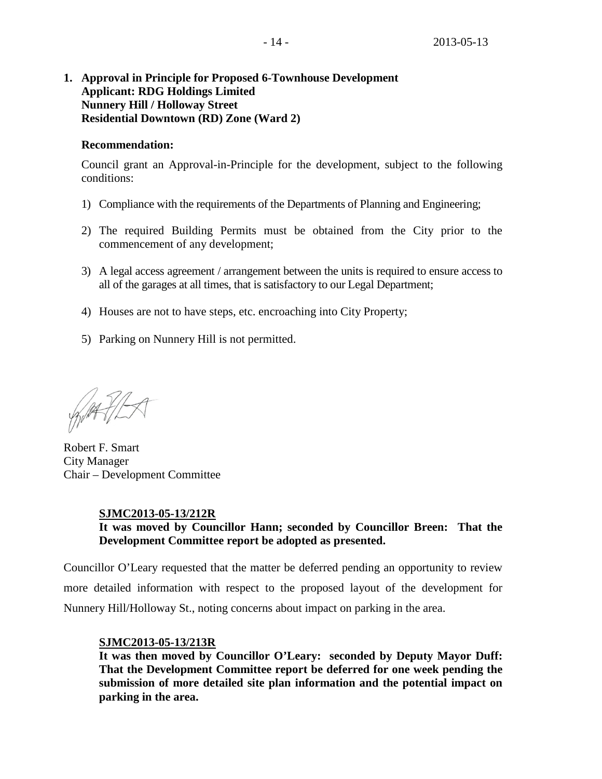## **1. Approval in Principle for Proposed 6-Townhouse Development Applicant: RDG Holdings Limited Nunnery Hill / Holloway Street Residential Downtown (RD) Zone (Ward 2)**

## **Recommendation:**

Council grant an Approval-in-Principle for the development, subject to the following conditions:

- 1) Compliance with the requirements of the Departments of Planning and Engineering;
- 2) The required Building Permits must be obtained from the City prior to the commencement of any development;
- 3) A legal access agreement / arrangement between the units is required to ensure access to all of the garages at all times, that is satisfactory to our Legal Department;
- 4) Houses are not to have steps, etc. encroaching into City Property;
- 5) Parking on Nunnery Hill is not permitted.

WATILA

Robert F. Smart City Manager Chair – Development Committee

## **SJMC2013-05-13/212R**

## **It was moved by Councillor Hann; seconded by Councillor Breen: That the Development Committee report be adopted as presented.**

Councillor O'Leary requested that the matter be deferred pending an opportunity to review more detailed information with respect to the proposed layout of the development for Nunnery Hill/Holloway St., noting concerns about impact on parking in the area.

## **SJMC2013-05-13/213R**

**It was then moved by Councillor O'Leary: seconded by Deputy Mayor Duff: That the Development Committee report be deferred for one week pending the submission of more detailed site plan information and the potential impact on parking in the area.**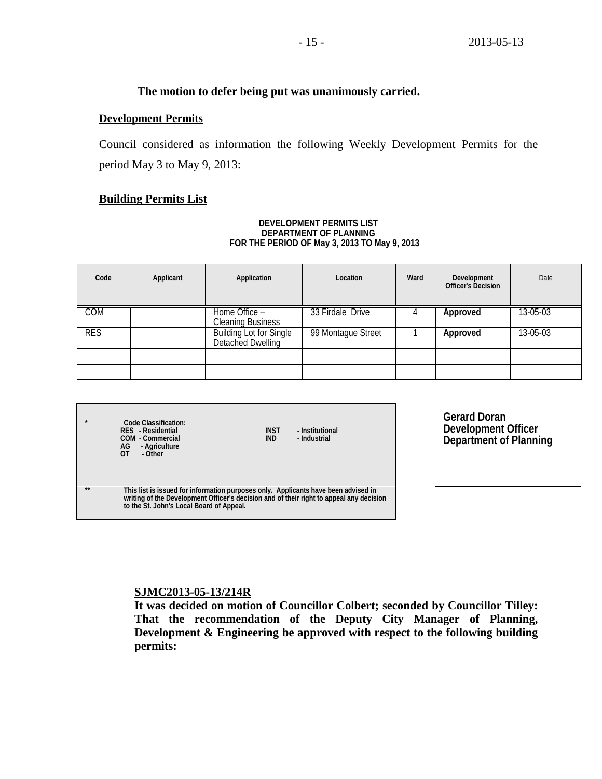## **The motion to defer being put was unanimously carried.**

## **Development Permits**

Council considered as information the following Weekly Development Permits for the period May 3 to May 9, 2013:

## **Building Permits List**

#### **DEVELOPMENT PERMITS LIST DEPARTMENT OF PLANNING FOR THE PERIOD OF May 3, 2013 TO May 9, 2013**

| Code       | Applicant | Application                                          | Location           | Ward | Development<br>Officer's Decision | Date     |
|------------|-----------|------------------------------------------------------|--------------------|------|-----------------------------------|----------|
| <b>COM</b> |           | Home Office -<br><b>Cleaning Business</b>            | 33 Firdale Drive   |      | Approved                          | 13-05-03 |
| <b>RES</b> |           | <b>Building Lot for Single<br/>Detached Dwelling</b> | 99 Montague Street |      | Approved                          | 13-05-03 |
|            |           |                                                      |                    |      |                                   |          |
|            |           |                                                      |                    |      |                                   |          |

| $\star$ | Code Classification:<br>RES - Residential<br>COM - Commercial<br>AG<br>- Agriculture<br>$\overline{0}$<br>- Other                                                                                                         | <b>INST</b><br><b>IND</b> | - Institutional<br>- Industrial |
|---------|---------------------------------------------------------------------------------------------------------------------------------------------------------------------------------------------------------------------------|---------------------------|---------------------------------|
| $***$   | This list is issued for information purposes only. Applicants have been advised in<br>writing of the Development Officer's decision and of their right to appeal any decision<br>to the St. John's Local Board of Appeal. |                           |                                 |

**Gerard Doran Development Officer Department of Planning**

### **SJMC2013-05-13/214R**

**It was decided on motion of Councillor Colbert; seconded by Councillor Tilley: That the recommendation of the Deputy City Manager of Planning, Development & Engineering be approved with respect to the following building permits:**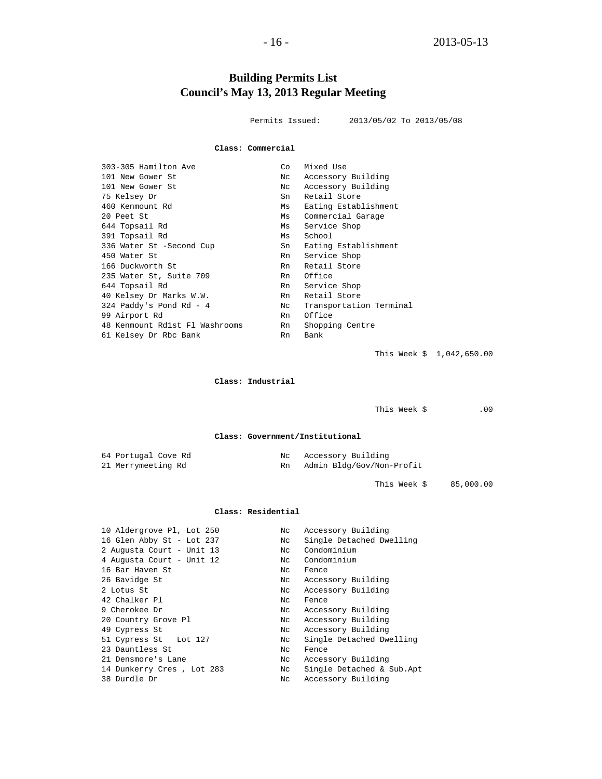# **Building Permits List Council's May 13, 2013 Regular Meeting**

Permits Issued: 2013/05/02 To 2013/05/08

#### **Class: Commercial**

| 303-305 Hamilton Ave           | Co  | Mixed Use               |
|--------------------------------|-----|-------------------------|
| 101 New Gower St               | Nc  | Accessory Building      |
| 101 New Gower St               | Nc. | Accessory Building      |
| 75 Kelsey Dr                   | Sn  | Retail Store            |
| 460 Kenmount Rd                | Ms  | Eating Establishment    |
| 20 Peet St                     | Ms  | Commercial Garage       |
| 644 Topsail Rd                 | Ms  | Service Shop            |
| 391 Topsail Rd                 | Ms  | School                  |
| 336 Water St -Second Cup       | Sn  | Eating Establishment    |
| 450 Water St                   | Rn  | Service Shop            |
| 166 Duckworth St               | Rn  | Retail Store            |
| 235 Water St, Suite 709        | Rn  | Office                  |
| 644 Topsail Rd                 | Rn  | Service Shop            |
| 40 Kelsey Dr Marks W.W.        | Rn  | Retail Store            |
| 324 Paddy's Pond Rd - 4        | Nc  | Transportation Terminal |
| 99 Airport Rd                  | Rn  | Office                  |
| 48 Kenmount Rd1st Fl Washrooms | Rn  | Shopping Centre         |
| 61 Kelsey Dr Rbc Bank          | Rn  | Bank                    |
|                                |     |                         |

This Week \$ 1,042,650.00

#### **Class: Industrial**

This Week  $\zeta$  .00

**Class: Government/Institutional**

| 64 Portugal Cove Rd | Nc Accessory Building     |
|---------------------|---------------------------|
| 21 Merrymeeting Rd  | Admin Bldg/Gov/Non-Profit |

This Week \$ 85,000.00

#### **Class: Residential**

| Single Detached Dwelling<br>16 Glen Abby St - Lot 237<br>Nc<br>Condominium<br>2 Augusta Court - Unit 13<br>Nc<br>Condominium<br>4 Augusta Court - Unit 12<br>Nc<br>16 Bar Haven St<br>Nc<br>Fence<br>26 Bavidge St<br>Accessory Building<br>Nc<br>2 Lotus St<br>Accessory Building<br>Nc<br>42 Chalker Pl<br>Nc<br>Fence<br>9 Cherokee Dr<br>Accessory Building<br>Nc<br>20 Country Grove Pl<br>Accessory Building<br>Nc<br>Accessory Building<br>49 Cypress St<br>Nc<br>Single Detached Dwelling<br>51 Cypress St Lot 127<br>Nc<br>23 Dauntless St<br>Nc<br>Fence<br>Accessory Building<br>21 Densmore's Lane<br>Nc<br>Single Detached & Sub.Apt<br>14 Dunkerry Cres, Lot 283<br>Nc<br>38 Durdle Dr<br>Accessory Building<br>Nc | 10 Aldergrove Pl, Lot 250 | Nc | Accessory Building |
|----------------------------------------------------------------------------------------------------------------------------------------------------------------------------------------------------------------------------------------------------------------------------------------------------------------------------------------------------------------------------------------------------------------------------------------------------------------------------------------------------------------------------------------------------------------------------------------------------------------------------------------------------------------------------------------------------------------------------------|---------------------------|----|--------------------|
|                                                                                                                                                                                                                                                                                                                                                                                                                                                                                                                                                                                                                                                                                                                                  |                           |    |                    |
|                                                                                                                                                                                                                                                                                                                                                                                                                                                                                                                                                                                                                                                                                                                                  |                           |    |                    |
|                                                                                                                                                                                                                                                                                                                                                                                                                                                                                                                                                                                                                                                                                                                                  |                           |    |                    |
|                                                                                                                                                                                                                                                                                                                                                                                                                                                                                                                                                                                                                                                                                                                                  |                           |    |                    |
|                                                                                                                                                                                                                                                                                                                                                                                                                                                                                                                                                                                                                                                                                                                                  |                           |    |                    |
|                                                                                                                                                                                                                                                                                                                                                                                                                                                                                                                                                                                                                                                                                                                                  |                           |    |                    |
|                                                                                                                                                                                                                                                                                                                                                                                                                                                                                                                                                                                                                                                                                                                                  |                           |    |                    |
|                                                                                                                                                                                                                                                                                                                                                                                                                                                                                                                                                                                                                                                                                                                                  |                           |    |                    |
|                                                                                                                                                                                                                                                                                                                                                                                                                                                                                                                                                                                                                                                                                                                                  |                           |    |                    |
|                                                                                                                                                                                                                                                                                                                                                                                                                                                                                                                                                                                                                                                                                                                                  |                           |    |                    |
|                                                                                                                                                                                                                                                                                                                                                                                                                                                                                                                                                                                                                                                                                                                                  |                           |    |                    |
|                                                                                                                                                                                                                                                                                                                                                                                                                                                                                                                                                                                                                                                                                                                                  |                           |    |                    |
|                                                                                                                                                                                                                                                                                                                                                                                                                                                                                                                                                                                                                                                                                                                                  |                           |    |                    |
|                                                                                                                                                                                                                                                                                                                                                                                                                                                                                                                                                                                                                                                                                                                                  |                           |    |                    |
|                                                                                                                                                                                                                                                                                                                                                                                                                                                                                                                                                                                                                                                                                                                                  |                           |    |                    |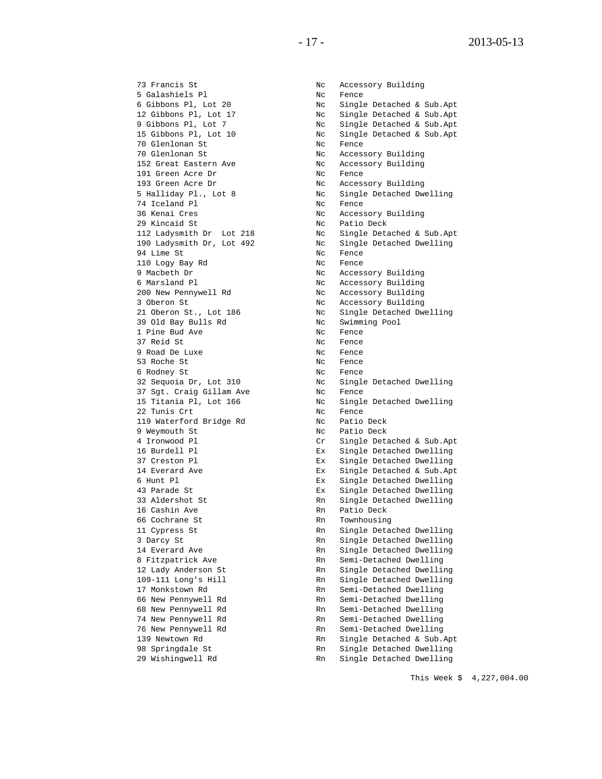73 Francis St North Controller Note Accessory Building 5 Galashiels Pl Nc Fence 70 Glenlonan St Nc Fence 70 Glenlonan St Nc Accessory Building 191 Green Acre Dr<br>193 Green Acre Dr 193 Green Acre Dr Nc Accessory Building<br>
5 Halliday Pl., Lot 8 Nc Single Detached Dw 74 Iceland Pl<br>36 Kenai Cres The Contract Cress Note Access 36 Kenai Cres Nc Accessory Building<br>29 Kincaid St Nc Patio Deck<br>2006 - Accessory Building 29 Kincaid St Nc Patio Deck 94 Lime St<br>110 Logy Bay Rd<br>Nc Fence 110 Logy Bay Rd<br>9 Macbeth Dr 9 Macbeth Dr Nc Accessory Building 6 Marsland Pl Nc Accessory Building 200 New Pennywell Rd North Controller Nc Accessory Building 39 Old Bay Bulls Rd No Nc Swimming Pool 1 Pine Bud Ave Nc Fence 9 Road De Luxe<br>53 Roche St 53 Roche St<br>6 Rodney St<br>19 No Fence 6 Rodney St Nc Fence 37 Sgt. Craig Gillam Ave Nc Fence 22 Tunis Crt Nc Fence 119 Waterford Bridge Rd<br>9 Weymouth St 9 Weymouth St Nc Patio Deck<br>4 Ironwood Pl Cr Single Deta 16 Cashin Ave Rn Patio Deck 66 Cochrane St Rn Townhousing<br>11 Cypress St Rn Single Deta

6 Gibbons Pl, Lot 20 Nc Single Detached & Sub.Apt 12 Gibbons Pl, Lot 17 Nc Single Detached & Sub.Apt 9 Gibbons Pl, Lot 7 Nc Single Detached & Sub.Apt 15 Gibbons Pl, Lot 10 Nc Single Detached & Sub.Apt Nc Accessory Building<br>Nc Fence 5 Halliday Pl., Lot 8 Nc Single Detached Dwelling Nc Single Detached & Sub.Apt<br>Nc Single Detached Dwelling 190 Ladysmith Dr, Lot 492 Nc Single Detached Dwelling 3 Oberon St<br>
21 Oberon St., Lot 186 Nc Single Detached Dwelling 21 Oberon St., Lot 186 No. No. Single Detached Dwelling Nc Fence<br>Nc Fence 32 Sequoia Dr, Lot 310 Nc Single Detached Dwelling 15 Titania Pl, Lot 166 Nc Single Detached Dwelling 4 Ironwood Pl Cr Single Detached & Sub.Apt 16 Burdell Pl Ex Single Detached Dwelling 37 Creston Pl Ex Single Detached Dwelling 14 Everard Ave Ex Single Detached & Sub.Apt<br>6 Hunt Pl 6 Hunt Pl<br>
43 Parade St<br>
Ex Single Detached Dwelling<br>
Ex Single Detached Dwelling 43 Parade St Ex Single Detached Dwelling 33 Aldershot St Rn Single Detached Dwelling<br>16 Cashin Ave Rn Patio Deck 11 Cypress St The Rn Single Detached Dwelling<br>3 Darcy St The Rn Single Detached Dwelling 3 Darcy St Rn Single Detached Dwelling 14 Everard Ave Rn Single Detached Dwelling 8 Fitzpatrick Ave and Rn Semi-Detached Dwelling<br>12 Lady Anderson St Rn Single Detached Dwelling 12 Lady Anderson St and Rn Single Detached Dwelling<br>109-111 Long's Hill and Rn Single Detached Dwelling 109-111 Long's Hill Rn Single Detached Dwelling<br>17 Monkstown Rd Rn Semi-Detached Dwelling 17 Monkstown Rd<br>
66 New Pennywell Rd<br>
Rn Semi-Detached Dwelling 66 New Pennywell Rd<br>68 New Pennywell Rd<br>Rn Semi-Detached Dwelling 68 New Pennywell Rd<br>
74 New Pennywell Rd<br>
Rn Semi-Detached Dwelling 74 New Pennywell Rd<br>
76 New Pennywell Rd<br>
Rn Semi-Detached Dwelling 76 New Pennywell Rd<br>139 Newtown Rd 139 Newtown Rd Rn Single Detached & Sub. 139 Newtown Rd Rn Single Detached & Sub.Apt 98 Springdale St Rn Single Detached Dwelling 29 Wishingwell Rd Rn Single Detached Dwelling

This Week \$ 4,227,004.00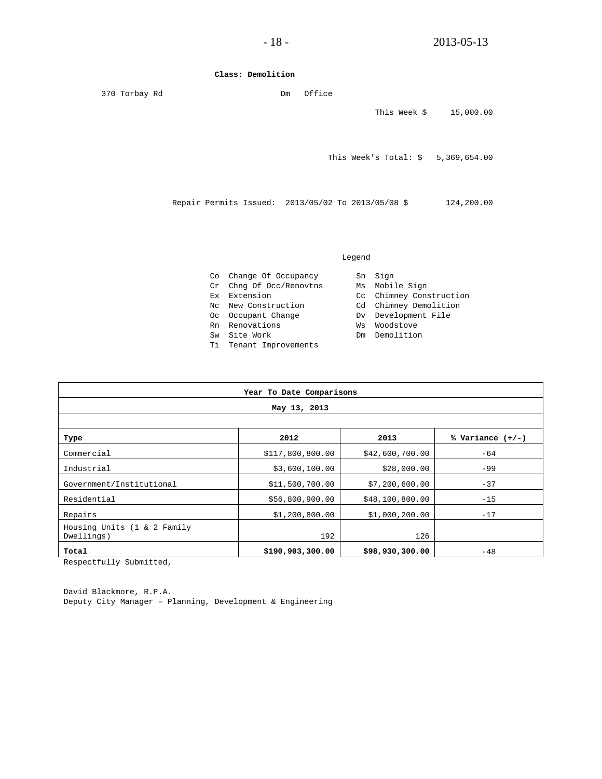#### **Class: Demolition**

| 370 Torbay Rd |                                                    | Dm | Office |                                    |            |
|---------------|----------------------------------------------------|----|--------|------------------------------------|------------|
|               |                                                    |    |        | This Week \$                       | 15,000.00  |
|               |                                                    |    |        | This Week's Total: $$5,369,654.00$ |            |
|               | Repair Permits Issued: 2013/05/02 To 2013/05/08 \$ |    |        |                                    | 124,200.00 |
|               |                                                    |    |        |                                    |            |

#### Legend

|    | Co Change Of Occupancy  |    | Sn Sign                 |
|----|-------------------------|----|-------------------------|
|    | Cr Chng Of Occ/Renovtns |    | Ms Mobile Sign          |
|    | Ex Extension            |    | Cc Chimney Construction |
|    | No. New Construction    |    | Cd Chimney Demolition   |
|    | Oc Occupant Change      |    | Dv Development File     |
|    | Rn Renovations          | Ws | Woodstove               |
| Sw | Site Work               | Dm | Demolition              |
|    | Ti Tenant Improvements  |    |                         |
|    |                         |    |                         |

| Year To Date Comparisons                  |                  |                 |                    |  |  |  |
|-------------------------------------------|------------------|-----------------|--------------------|--|--|--|
| May 13, 2013                              |                  |                 |                    |  |  |  |
|                                           |                  |                 |                    |  |  |  |
| Type                                      | 2012             | 2013            | % Variance $(+/-)$ |  |  |  |
| Commercial                                | \$117,800,800.00 | \$42,600,700.00 | $-64$              |  |  |  |
| Industrial                                | \$3,600,100.00   | \$28,000.00     | $-99$              |  |  |  |
| Government/Institutional                  | \$11,500,700.00  | \$7,200,600.00  | $-37$              |  |  |  |
| Residential                               | \$56,800,900.00  | \$48,100,800.00 | $-15$              |  |  |  |
| Repairs                                   | \$1,200,800.00   | \$1,000,200.00  | $-17$              |  |  |  |
| Housing Units (1 & 2 Family<br>Dwellings) | 192              | 126             |                    |  |  |  |
| Total                                     | \$190,903,300.00 | \$98,930,300.00 | $-48$              |  |  |  |

Respectfully Submitted,

David Blackmore, R.P.A. Deputy City Manager – Planning, Development & Engineering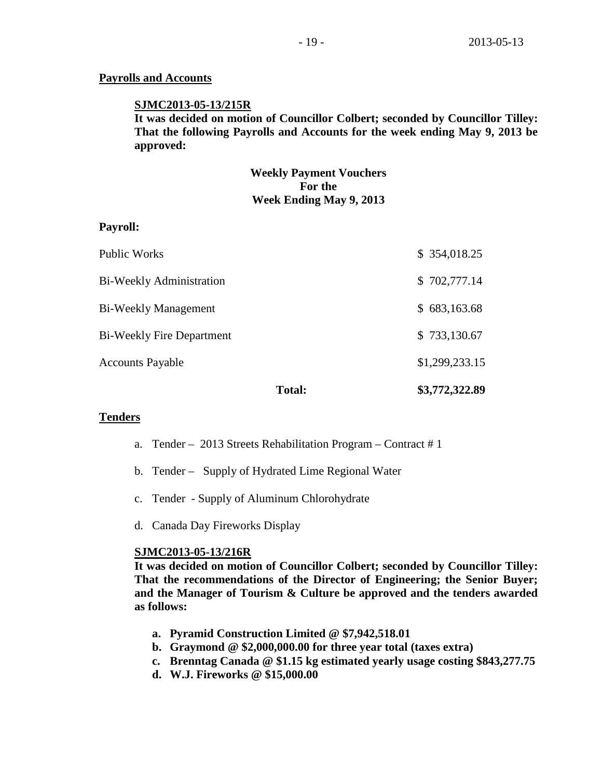## **Payrolls and Accounts**

### **SJMC2013-05-13/215R**

**It was decided on motion of Councillor Colbert; seconded by Councillor Tilley: That the following Payrolls and Accounts for the week ending May 9, 2013 be approved:**

## **Weekly Payment Vouchers For the Week Ending May 9, 2013**

### **Payroll:**

|                                  | <b>Total:</b> | \$3,772,322.89 |
|----------------------------------|---------------|----------------|
| <b>Accounts Payable</b>          |               | \$1,299,233.15 |
| <b>Bi-Weekly Fire Department</b> |               | \$733,130.67   |
| <b>Bi-Weekly Management</b>      |               | \$683,163.68   |
| <b>Bi-Weekly Administration</b>  |               | \$702,777.14   |
| Public Works                     |               | \$ 354,018.25  |

## **Tenders**

- a. Tender 2013 Streets Rehabilitation Program Contract # 1
- b. Tender Supply of Hydrated Lime Regional Water
- c. Tender Supply of Aluminum Chlorohydrate
- d. Canada Day Fireworks Display

### **SJMC2013-05-13/216R**

**It was decided on motion of Councillor Colbert; seconded by Councillor Tilley: That the recommendations of the Director of Engineering; the Senior Buyer; and the Manager of Tourism & Culture be approved and the tenders awarded as follows:**

- **a. Pyramid Construction Limited @ \$7,942,518.01**
- **b. Graymond @ \$2,000,000.00 for three year total (taxes extra)**
- **c. Brenntag Canada @ \$1.15 kg estimated yearly usage costing \$843,277.75**
- **d. W.J. Fireworks @ \$15,000.00**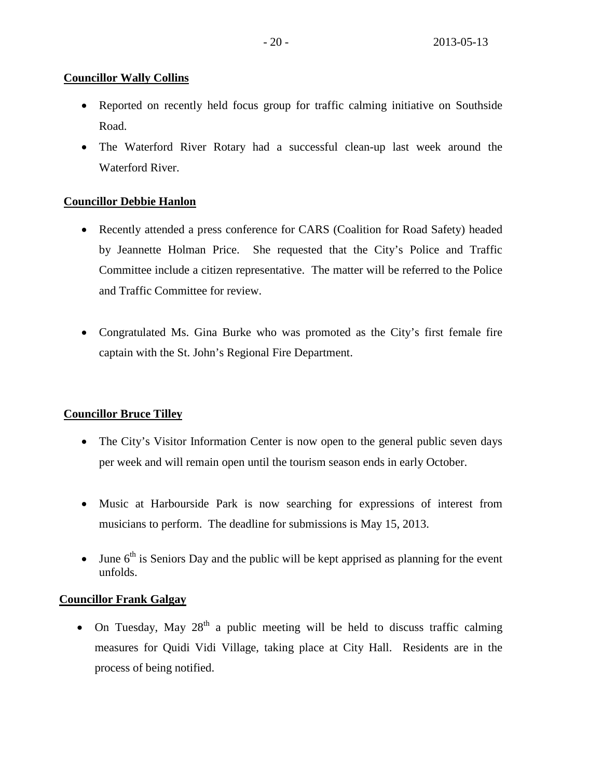## **Councillor Wally Collins**

- Reported on recently held focus group for traffic calming initiative on Southside Road.
- The Waterford River Rotary had a successful clean-up last week around the Waterford River.

# **Councillor Debbie Hanlon**

- Recently attended a press conference for CARS (Coalition for Road Safety) headed by Jeannette Holman Price. She requested that the City's Police and Traffic Committee include a citizen representative. The matter will be referred to the Police and Traffic Committee for review.
- Congratulated Ms. Gina Burke who was promoted as the City's first female fire captain with the St. John's Regional Fire Department.

# **Councillor Bruce Tilley**

- The City's Visitor Information Center is now open to the general public seven days per week and will remain open until the tourism season ends in early October.
- Music at Harbourside Park is now searching for expressions of interest from musicians to perform. The deadline for submissions is May 15, 2013.
- June  $6<sup>th</sup>$  is Seniors Day and the public will be kept apprised as planning for the event unfolds.

## **Councillor Frank Galgay**

• On Tuesday, May  $28<sup>th</sup>$  a public meeting will be held to discuss traffic calming measures for Quidi Vidi Village, taking place at City Hall. Residents are in the process of being notified.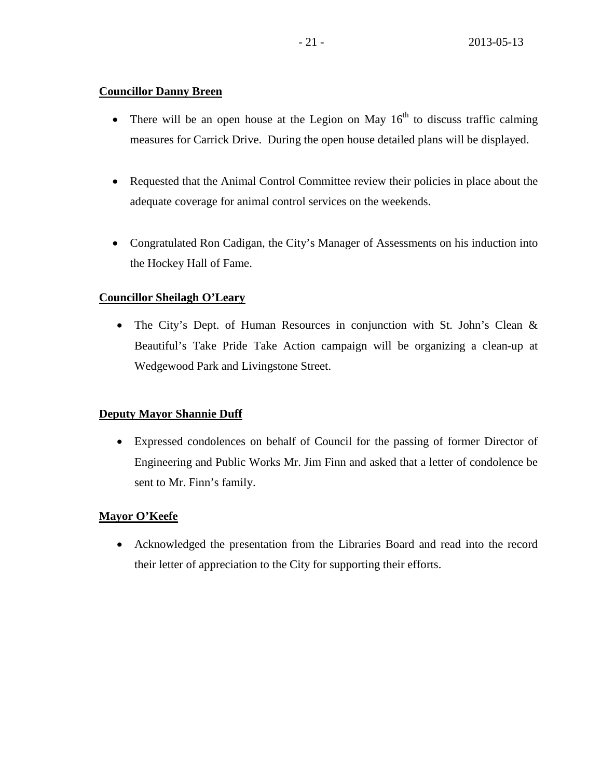## **Councillor Danny Breen**

- There will be an open house at the Legion on May  $16<sup>th</sup>$  to discuss traffic calming measures for Carrick Drive. During the open house detailed plans will be displayed.
- Requested that the Animal Control Committee review their policies in place about the adequate coverage for animal control services on the weekends.
- Congratulated Ron Cadigan, the City's Manager of Assessments on his induction into the Hockey Hall of Fame.

# **Councillor Sheilagh O'Leary**

• The City's Dept. of Human Resources in conjunction with St. John's Clean & Beautiful's Take Pride Take Action campaign will be organizing a clean-up at Wedgewood Park and Livingstone Street.

# **Deputy Mayor Shannie Duff**

• Expressed condolences on behalf of Council for the passing of former Director of Engineering and Public Works Mr. Jim Finn and asked that a letter of condolence be sent to Mr. Finn's family.

# **Mayor O'Keefe**

• Acknowledged the presentation from the Libraries Board and read into the record their letter of appreciation to the City for supporting their efforts.